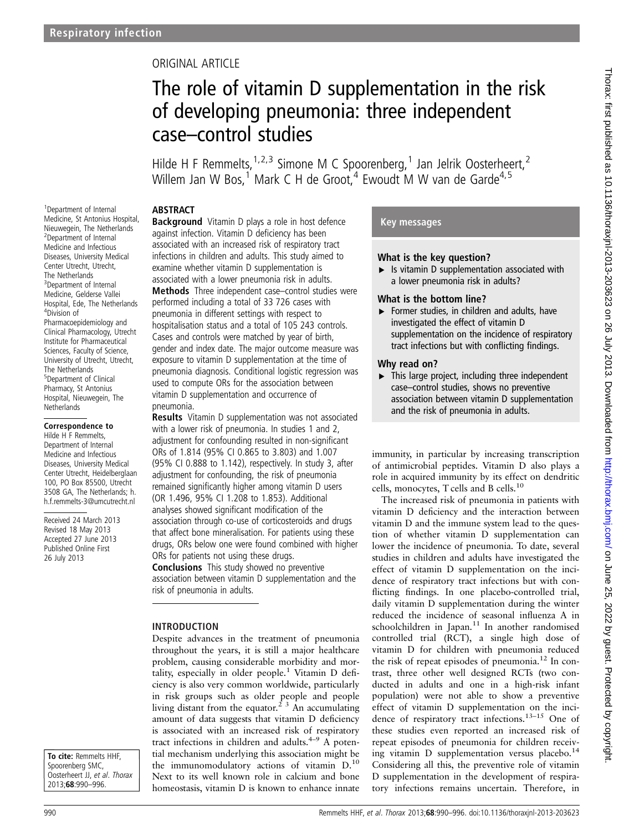# ORIGINAL ARTICLE

# The role of vitamin D supplementation in the risk of developing pneumonia: three independent case–control studies

Hilde H F Remmelts,  $1,2,3$  Simone M C Spoorenberg,  $1$  Jan Jelrik Oosterheert,  $2$ Willem Jan W Bos,<sup>1</sup> Mark C H de Groot,<sup>4</sup> Ewoudt M W van de Garde<sup>4,5</sup>

# ABSTRACT

1 Department of Internal Medicine, St Antonius Hospital, Nieuwegein, The Netherlands 2 Department of Internal Medicine and Infectious Diseases, University Medical Center Utrecht, Utrecht, The Netherlands <sup>3</sup>Department of Internal Medicine, Gelderse Vallei Hospital, Ede, The Netherlands 4 Division of Pharmacoepidemiology and Clinical Pharmacology, Utrecht Institute for Pharmaceutical Sciences, Faculty of Science, University of Utrecht, Utrecht, The Netherlands 5 Department of Clinical Pharmacy, St Antonius Hospital, Nieuwegein, The **Netherlands** 

### Correspondence to

Hilde H F Remmelts, Department of Internal Medicine and Infectious Diseases, University Medical Center Utrecht, Heidelberglaan 100, PO Box 85500, Utrecht 3508 GA, The Netherlands; h. h.f.remmelts-3@umcutrecht.nl

Received 24 March 2013 Revised 18 May 2013 Accepted 27 June 2013 Published Online First 26 July 2013

**Background** Vitamin D plays a role in host defence against infection. Vitamin D deficiency has been associated with an increased risk of respiratory tract infections in children and adults. This study aimed to examine whether vitamin D supplementation is associated with a lower pneumonia risk in adults. Methods Three independent case–control studies were performed including a total of 33 726 cases with pneumonia in different settings with respect to hospitalisation status and a total of 105 243 controls. Cases and controls were matched by year of birth, gender and index date. The major outcome measure was exposure to vitamin D supplementation at the time of pneumonia diagnosis. Conditional logistic regression was used to compute ORs for the association between vitamin D supplementation and occurrence of pneumonia.

Results Vitamin D supplementation was not associated with a lower risk of pneumonia. In studies 1 and 2, adjustment for confounding resulted in non-significant ORs of 1.814 (95% CI 0.865 to 3.803) and 1.007 (95% CI 0.888 to 1.142), respectively. In study 3, after adjustment for confounding, the risk of pneumonia remained significantly higher among vitamin D users (OR 1.496, 95% CI 1.208 to 1.853). Additional analyses showed significant modification of the association through co-use of corticosteroids and drugs that affect bone mineralisation. For patients using these drugs, ORs below one were found combined with higher ORs for patients not using these drugs.

Conclusions This study showed no preventive association between vitamin D supplementation and the risk of pneumonia in adults.

# INTRODUCTION

Despite advances in the treatment of pneumonia throughout the years, it is still a major healthcare problem, causing considerable morbidity and mortality, especially in older people.<sup>1</sup> Vitamin D deficiency is also very common worldwide, particularly in risk groups such as older people and people living distant from the equator.<sup>2 3</sup> An accumulating amount of data suggests that vitamin D deficiency is associated with an increased risk of respiratory tract infections in children and adults. $4-9$  A potential mechanism underlying this association might be the immunomodulatory actions of vitamin D.<sup>10</sup> Next to its well known role in calcium and bone homeostasis, vitamin D is known to enhance innate

# Key messages

# What is the key question?

▸ Is vitamin D supplementation associated with a lower pneumonia risk in adults?

# What is the bottom line?

▶ Former studies, in children and adults, have investigated the effect of vitamin D supplementation on the incidence of respiratory tract infections but with conflicting findings.

## Why read on?

 $\triangleright$  This large project, including three independent case–control studies, shows no preventive association between vitamin D supplementation and the risk of pneumonia in adults.

immunity, in particular by increasing transcription of antimicrobial peptides. Vitamin D also plays a role in acquired immunity by its effect on dendritic cells, monocytes, T cells and B cells.10

The increased risk of pneumonia in patients with vitamin D deficiency and the interaction between vitamin D and the immune system lead to the question of whether vitamin D supplementation can lower the incidence of pneumonia. To date, several studies in children and adults have investigated the effect of vitamin D supplementation on the incidence of respiratory tract infections but with conflicting findings. In one placebo-controlled trial, daily vitamin D supplementation during the winter reduced the incidence of seasonal influenza A in schoolchildren in Japan. $11$  In another randomised controlled trial (RCT), a single high dose of vitamin D for children with pneumonia reduced the risk of repeat episodes of pneumonia.<sup>12</sup> In contrast, three other well designed RCTs (two conducted in adults and one in a high-risk infant population) were not able to show a preventive effect of vitamin D supplementation on the incidence of respiratory tract infections.13–<sup>15</sup> One of these studies even reported an increased risk of repeat episodes of pneumonia for children receiving vitamin D supplementation versus placebo.<sup>14</sup> Considering all this, the preventive role of vitamin D supplementation in the development of respiratory infections remains uncertain. Therefore, in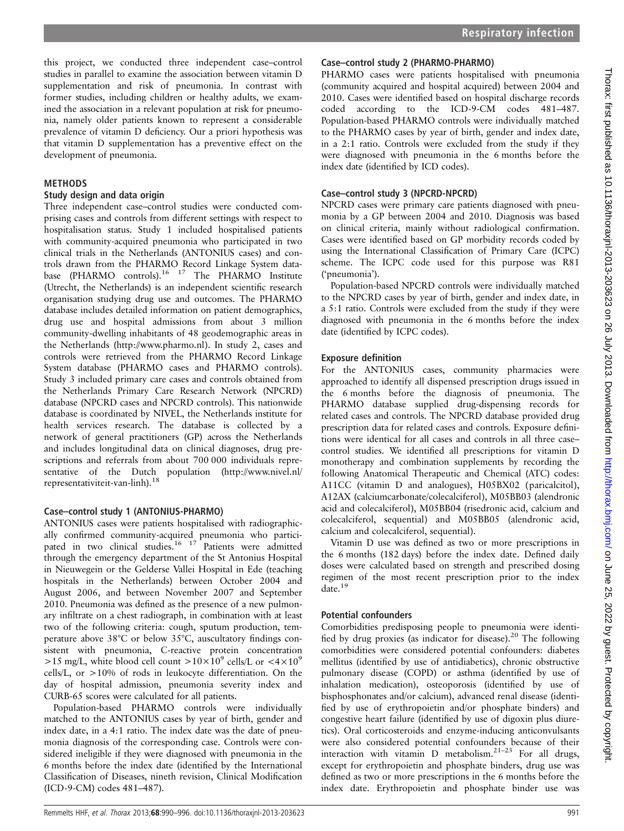this project, we conducted three independent case–control studies in parallel to examine the association between vitamin D supplementation and risk of pneumonia. In contrast with former studies, including children or healthy adults, we examined the association in a relevant population at risk for pneumonia, namely older patients known to represent a considerable prevalence of vitamin D deficiency. Our a priori hypothesis was that vitamin D supplementation has a preventive effect on the development of pneumonia.

# METHODS

# Study design and data origin

Three independent case–control studies were conducted comprising cases and controls from different settings with respect to hospitalisation status. Study 1 included hospitalised patients with community-acquired pneumonia who participated in two clinical trials in the Netherlands (ANTONIUS cases) and controls drawn from the PHARMO Record Linkage System database (PHARMO controls).<sup>16</sup> <sup>17</sup> The PHARMO Institute (Utrecht, the Netherlands) is an independent scientific research organisation studying drug use and outcomes. The PHARMO database includes detailed information on patient demographics, drug use and hospital admissions from about 3 million community-dwelling inhabitants of 48 geodemographic areas in the Netherlands [\(http://www.pharmo.nl](http://www.pharmo.nl)). In study 2, cases and controls were retrieved from the PHARMO Record Linkage System database (PHARMO cases and PHARMO controls). Study 3 included primary care cases and controls obtained from the Netherlands Primary Care Research Network (NPCRD) database (NPCRD cases and NPCRD controls). This nationwide database is coordinated by NIVEL, the Netherlands institute for health services research. The database is collected by a network of general practitioners (GP) across the Netherlands and includes longitudinal data on clinical diagnoses, drug prescriptions and referrals from about 700 000 individuals representative of the Dutch population [\(http://www.nivel.nl/](http://www.nivel.nl/representativiteit-van-linh).) [representativiteit-van-linh\).](http://www.nivel.nl/representativiteit-van-linh).)<sup>18</sup>

# Case–control study 1 (ANTONIUS-PHARMO)

ANTONIUS cases were patients hospitalised with radiographically confirmed community-acquired pneumonia who participated in two clinical studies.16 17 Patients were admitted through the emergency department of the St Antonius Hospital in Nieuwegein or the Gelderse Vallei Hospital in Ede (teaching hospitals in the Netherlands) between October 2004 and August 2006, and between November 2007 and September 2010. Pneumonia was defined as the presence of a new pulmonary infiltrate on a chest radiograph, in combination with at least two of the following criteria: cough, sputum production, temperature above 38°C or below 35°C, auscultatory findings consistent with pneumonia, C-reactive protein concentration  $>15$  mg/L, white blood cell count  $>10\times10^{9}$  cells/L or  $<4\times10^{9}$ cells/L, or >10% of rods in leukocyte differentiation. On the day of hospital admission, pneumonia severity index and CURB-65 scores were calculated for all patients.

Population-based PHARMO controls were individually matched to the ANTONIUS cases by year of birth, gender and index date, in a 4:1 ratio. The index date was the date of pneumonia diagnosis of the corresponding case. Controls were considered ineligible if they were diagnosed with pneumonia in the 6 months before the index date (identified by the International Classification of Diseases, nineth revision, Clinical Modification (ICD-9-CM) codes 481–487).

# Case–control study 2 (PHARMO-PHARMO)

PHARMO cases were patients hospitalised with pneumonia (community acquired and hospital acquired) between 2004 and 2010. Cases were identified based on hospital discharge records coded according to the ICD-9-CM codes 481–487. Population-based PHARMO controls were individually matched to the PHARMO cases by year of birth, gender and index date, in a 2:1 ratio. Controls were excluded from the study if they were diagnosed with pneumonia in the 6 months before the index date (identified by ICD codes).

# Case–control study 3 (NPCRD-NPCRD)

NPCRD cases were primary care patients diagnosed with pneumonia by a GP between 2004 and 2010. Diagnosis was based on clinical criteria, mainly without radiological confirmation. Cases were identified based on GP morbidity records coded by using the International Classification of Primary Care (ICPC) scheme. The ICPC code used for this purpose was R81 ('pneumonia').

Population-based NPCRD controls were individually matched to the NPCRD cases by year of birth, gender and index date, in a 5:1 ratio. Controls were excluded from the study if they were diagnosed with pneumonia in the 6 months before the index date (identified by ICPC codes).

# Exposure definition

For the ANTONIUS cases, community pharmacies were approached to identify all dispensed prescription drugs issued in the 6 months before the diagnosis of pneumonia. The PHARMO database supplied drug-dispensing records for related cases and controls. The NPCRD database provided drug prescription data for related cases and controls. Exposure definitions were identical for all cases and controls in all three case– control studies. We identified all prescriptions for vitamin D monotherapy and combination supplements by recording the following Anatomical Therapeutic and Chemical (ATC) codes: A11CC (vitamin D and analogues), H05BX02 (paricalcitol), A12AX (calciumcarbonate/colecalciferol), M05BB03 (alendronic acid and colecalciferol), M05BB04 (risedronic acid, calcium and colecalciferol, sequential) and M05BB05 (alendronic acid, calcium and colecalciferol, sequential).

Vitamin D use was defined as two or more prescriptions in the 6 months (182 days) before the index date. Defined daily doses were calculated based on strength and prescribed dosing regimen of the most recent prescription prior to the index date.<sup>19</sup>

# Potential confounders

Comorbidities predisposing people to pneumonia were identified by drug proxies (as indicator for disease).<sup>20</sup> The following comorbidities were considered potential confounders: diabetes mellitus (identified by use of antidiabetics), chronic obstructive pulmonary disease (COPD) or asthma (identified by use of inhalation medication), osteoporosis (identified by use of bisphosphonates and/or calcium), advanced renal disease (identified by use of erythropoietin and/or phosphate binders) and congestive heart failure (identified by use of digoxin plus diuretics). Oral corticosteroids and enzyme-inducing anticonvulsants were also considered potential confounders because of their interaction with vitamin D metabolism.21–<sup>23</sup> For all drugs, except for erythropoietin and phosphate binders, drug use was defined as two or more prescriptions in the 6 months before the index date. Erythropoietin and phosphate binder use was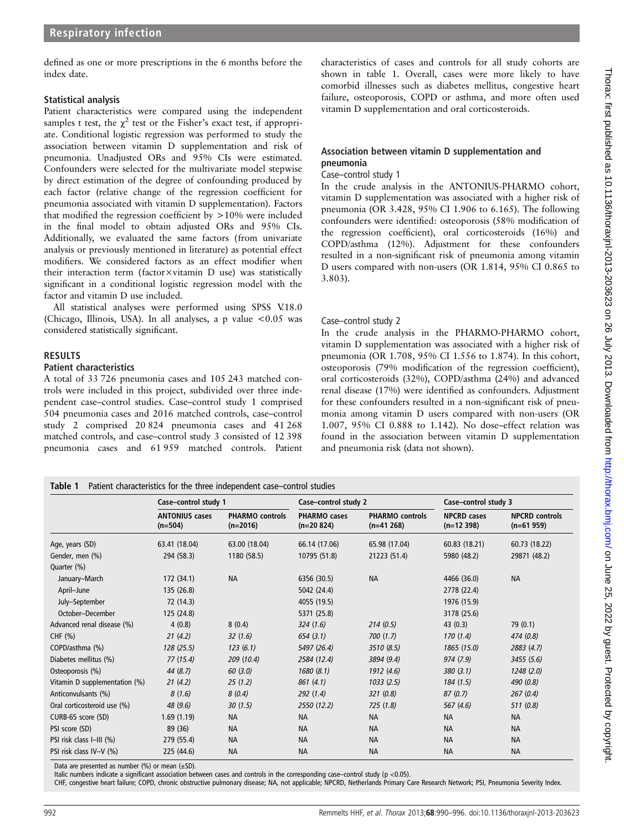defined as one or more prescriptions in the 6 months before the index date.

## Statistical analysis

Patient characteristics were compared using the independent samples t test, the  $\chi^2$  test or the Fisher's exact test, if appropriate. Conditional logistic regression was performed to study the association between vitamin D supplementation and risk of pneumonia. Unadjusted ORs and 95% CIs were estimated. Confounders were selected for the multivariate model stepwise by direct estimation of the degree of confounding produced by each factor (relative change of the regression coefficient for pneumonia associated with vitamin D supplementation). Factors that modified the regression coefficient by  $>10\%$  were included in the final model to obtain adjusted ORs and 95% CIs. Additionally, we evaluated the same factors (from univariate analysis or previously mentioned in literature) as potential effect modifiers. We considered factors as an effect modifier when their interaction term (factor×vitamin D use) was statistically significant in a conditional logistic regression model with the factor and vitamin D use included.

All statistical analyses were performed using SPSS V.18.0 (Chicago, Illinois, USA). In all analyses, a p value <0.05 was considered statistically significant.

# RESULTS

# Patient characteristics

A total of 33 726 pneumonia cases and 105 243 matched controls were included in this project, subdivided over three independent case–control studies. Case–control study 1 comprised 504 pneumonia cases and 2016 matched controls, case–control study 2 comprised 20 824 pneumonia cases and 41 268 matched controls, and case–control study 3 consisted of 12 398 pneumonia cases and 61 959 matched controls. Patient characteristics of cases and controls for all study cohorts are shown in table 1. Overall, cases were more likely to have comorbid illnesses such as diabetes mellitus, congestive heart failure, osteoporosis, COPD or asthma, and more often used vitamin D supplementation and oral corticosteroids.

# Association between vitamin D supplementation and pneumonia

## Case–control study 1

In the crude analysis in the ANTONIUS-PHARMO cohort, vitamin D supplementation was associated with a higher risk of pneumonia (OR 3.428, 95% CI 1.906 to 6.165). The following confounders were identified: osteoporosis (58% modification of the regression coefficient), oral corticosteroids (16%) and COPD/asthma (12%). Adjustment for these confounders resulted in a non-significant risk of pneumonia among vitamin D users compared with non-users (OR 1.814, 95% CI 0.865 to 3.803).

# Case–control study 2

In the crude analysis in the PHARMO-PHARMO cohort, vitamin D supplementation was associated with a higher risk of pneumonia (OR 1.708, 95% CI 1.556 to 1.874). In this cohort, osteoporosis (79% modification of the regression coefficient), oral corticosteroids (32%), COPD/asthma (24%) and advanced renal disease (17%) were identified as confounders. Adjustment for these confounders resulted in a non-significant risk of pneumonia among vitamin D users compared with non-users (OR 1.007, 95% CI 0.888 to 1.142). No dose–effect relation was found in the association between vitamin D supplementation and pneumonia risk (data not shown).

|                               | Case-control study 1               |                                      | Case-control study 2                |                                       | Case-control study 3              |                                      |
|-------------------------------|------------------------------------|--------------------------------------|-------------------------------------|---------------------------------------|-----------------------------------|--------------------------------------|
|                               | <b>ANTONIUS cases</b><br>$(n=504)$ | <b>PHARMO controls</b><br>$(n=2016)$ | <b>PHARMO cases</b><br>$(n=20 824)$ | <b>PHARMO controls</b><br>$(n=41268)$ | <b>NPCRD</b> cases<br>$(n=12398)$ | <b>NPCRD</b> controls<br>$(n=61959)$ |
| Age, years (SD)               | 63.41 (18.04)                      | 63.00 (18.04)                        | 66.14 (17.06)                       | 65.98 (17.04)                         | 60.83 (18.21)                     | 60.73 (18.22)                        |
| Gender, men (%)               | 294 (58.3)                         | 1180 (58.5)                          | 10795 (51.8)                        | 21223 (51.4)                          | 5980 (48.2)                       | 29871 (48.2)                         |
| Quarter (%)                   |                                    |                                      |                                     |                                       |                                   |                                      |
| January-March                 | 172 (34.1)                         | <b>NA</b>                            | 6356 (30.5)                         | <b>NA</b>                             | 4466 (36.0)                       | <b>NA</b>                            |
| April-June                    | 135 (26.8)                         |                                      | 5042 (24.4)                         |                                       | 2778 (22.4)                       |                                      |
| July-September                | 72 (14.3)                          |                                      | 4055 (19.5)                         |                                       | 1976 (15.9)                       |                                      |
| October-December              | 125 (24.8)                         |                                      | 5371 (25.8)                         |                                       | 3178 (25.6)                       |                                      |
| Advanced renal disease (%)    | 4(0.8)                             | 8(0.4)                               | 324(1.6)                            | 214(0.5)                              | 43(0.3)                           | 79 (0.1)                             |
| $CHF$ $(\%)$                  | 21(4.2)                            | 32(1.6)                              | 654 (3.1)                           | 700 (1.7)                             | 170(1.4)                          | 474 (0.8)                            |
| COPD/asthma (%)               | 128(25.5)                          | 123(6.1)                             | 5497 (26.4)                         | 3510 (8.5)                            | 1865 (15.0)                       | 2883 (4.7)                           |
| Diabetes mellitus (%)         | 77(15.4)                           | 209 (10.4)                           | 2584 (12.4)                         | 3894 (9.4)                            | 974 (7.9)                         | 3455 (5.6)                           |
| Osteoporosis (%)              | 44 (8.7)                           | 60 (3.0)                             | 1680 (8.1)                          | 1912 (4.6)                            | 380(3.1)                          | 1248 (2.0)                           |
| Vitamin D supplementation (%) | 21(4.2)                            | 25(1.2)                              | 861(4.1)                            | 1033(2.5)                             | 184 (1.5)                         | 490 (0.8)                            |
| Anticonvulsants (%)           | 8(1.6)                             | 8(0.4)                               | 292 (1.4)                           | 321 (0.8)                             | 87 (0.7)                          | 267(0.4)                             |
| Oral corticosteroid use (%)   | 48 (9.6)                           | 30(1.5)                              | 2550 (12.2)                         | 725 (1.8)                             | 567 (4.6)                         | 511(0.8)                             |
| CURB-65 score (SD)            | 1.69(1.19)                         | <b>NA</b>                            | <b>NA</b>                           | <b>NA</b>                             | <b>NA</b>                         | <b>NA</b>                            |
| PSI score (SD)                | 89 (36)                            | <b>NA</b>                            | <b>NA</b>                           | <b>NA</b>                             | <b>NA</b>                         | <b>NA</b>                            |
| PSI risk class I-III (%)      | 279 (55.4)                         | <b>NA</b>                            | <b>NA</b>                           | <b>NA</b>                             | <b>NA</b>                         | <b>NA</b>                            |
| PSI risk class IV-V (%)       | 225 (44.6)                         | <b>NA</b>                            | <b>NA</b>                           | <b>NA</b>                             | <b>NA</b>                         | <b>NA</b>                            |

Data are presented as number  $(\%)$  or mean  $(\pm SD)$ .

Italic numbers indicate a significant association between cases and controls in the corresponding case–control study (p <0.05).

CHF, congestive heart failure; COPD, chronic obstructive pulmonary disease; NA, not applicable; NPCRD, Netherlands Primary Care Research Network; PSI, Pneumonia Severity Index.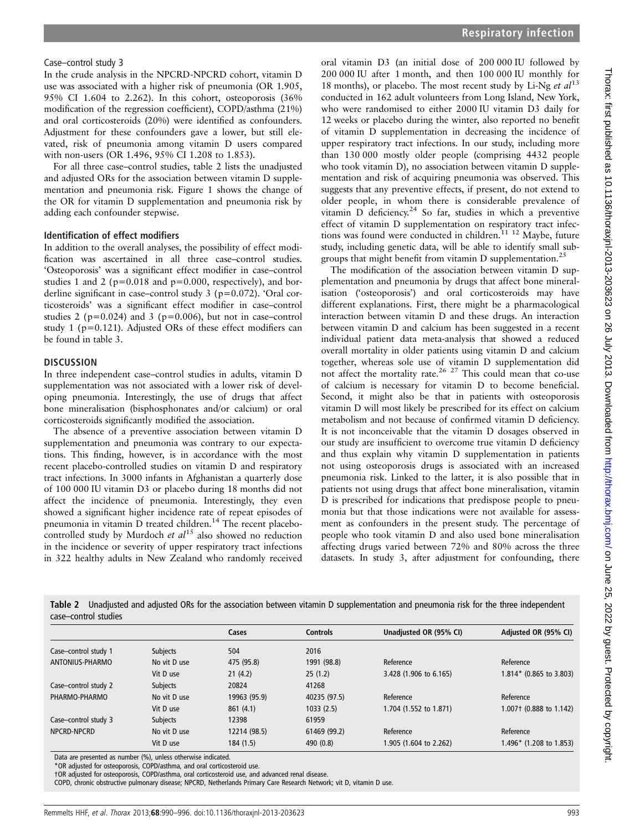#### Case–control study 3

In the crude analysis in the NPCRD-NPCRD cohort, vitamin D use was associated with a higher risk of pneumonia (OR 1.905, 95% CI 1.604 to 2.262). In this cohort, osteoporosis (36% modification of the regression coefficient), COPD/asthma (21%) and oral corticosteroids (20%) were identified as confounders. Adjustment for these confounders gave a lower, but still elevated, risk of pneumonia among vitamin D users compared with non-users (OR 1.496, 95% CI 1.208 to 1.853).

For all three case–control studies, table 2 lists the unadjusted and adjusted ORs for the association between vitamin D supplementation and pneumonia risk. Figure 1 shows the change of the OR for vitamin D supplementation and pneumonia risk by adding each confounder stepwise.

#### Identification of effect modifiers

In addition to the overall analyses, the possibility of effect modification was ascertained in all three case–control studies. 'Osteoporosis' was a significant effect modifier in case–control studies 1 and 2 ( $p=0.018$  and  $p=0.000$ , respectively), and borderline significant in case–control study 3 (p=0.072). 'Oral corticosteroids' was a significant effect modifier in case–control studies 2 ( $p=0.024$ ) and 3 ( $p=0.006$ ), but not in case–control study 1 (p=0.121). Adjusted ORs of these effect modifiers can be found in table 3.

#### **DISCUSSION**

In three independent case–control studies in adults, vitamin D supplementation was not associated with a lower risk of developing pneumonia. Interestingly, the use of drugs that affect bone mineralisation (bisphosphonates and/or calcium) or oral corticosteroids significantly modified the association.

The absence of a preventive association between vitamin D supplementation and pneumonia was contrary to our expectations. This finding, however, is in accordance with the most recent placebo-controlled studies on vitamin D and respiratory tract infections. In 3000 infants in Afghanistan a quarterly dose of 100 000 IU vitamin D3 or placebo during 18 months did not affect the incidence of pneumonia. Interestingly, they even showed a significant higher incidence rate of repeat episodes of pneumonia in vitamin D treated children.<sup>14</sup> The recent placebocontrolled study by Murdoch et  $al^{15}$  also showed no reduction in the incidence or severity of upper respiratory tract infections in 322 healthy adults in New Zealand who randomly received

oral vitamin D3 (an initial dose of 200 000 IU followed by 200 000 IU after 1 month, and then 100 000 IU monthly for 18 months), or placebo. The most recent study by Li-Ng *et al*<sup>13</sup> conducted in 162 adult volunteers from Long Island, New York, who were randomised to either 2000 IU vitamin D3 daily for 12 weeks or placebo during the winter, also reported no benefit of vitamin D supplementation in decreasing the incidence of upper respiratory tract infections. In our study, including more than 130 000 mostly older people (comprising 4432 people who took vitamin D), no association between vitamin D supplementation and risk of acquiring pneumonia was observed. This suggests that any preventive effects, if present, do not extend to older people, in whom there is considerable prevalence of vitamin D deficiency.<sup>24</sup> So far, studies in which a preventive effect of vitamin D supplementation on respiratory tract infections was found were conducted in children.<sup>11 12</sup> Maybe, future study, including genetic data, will be able to identify small subgroups that might benefit from vitamin D supplementation.<sup>25</sup>

The modification of the association between vitamin D supplementation and pneumonia by drugs that affect bone mineralisation ('osteoporosis') and oral corticosteroids may have different explanations. First, there might be a pharmacological interaction between vitamin D and these drugs. An interaction between vitamin D and calcium has been suggested in a recent individual patient data meta-analysis that showed a reduced overall mortality in older patients using vitamin D and calcium together, whereas sole use of vitamin D supplementation did not affect the mortality rate.<sup>26 27</sup> This could mean that co-use of calcium is necessary for vitamin D to become beneficial. Second, it might also be that in patients with osteoporosis vitamin D will most likely be prescribed for its effect on calcium metabolism and not because of confirmed vitamin D deficiency. It is not inconceivable that the vitamin D dosages observed in our study are insufficient to overcome true vitamin D deficiency and thus explain why vitamin D supplementation in patients not using osteoporosis drugs is associated with an increased pneumonia risk. Linked to the latter, it is also possible that in patients not using drugs that affect bone mineralisation, vitamin D is prescribed for indications that predispose people to pneumonia but that those indications were not available for assessment as confounders in the present study. The percentage of people who took vitamin D and also used bone mineralisation affecting drugs varied between 72% and 80% across the three datasets. In study 3, after adjustment for confounding, there

|                      |  |  | Table 2 Unadjusted and adjusted ORs for the association between vitamin D supplementation and pneumonia risk for the three independent |
|----------------------|--|--|----------------------------------------------------------------------------------------------------------------------------------------|
| case-control studies |  |  |                                                                                                                                        |

|                      |              | Cases        | <b>Controls</b> | Unadjusted OR (95% CI) | Adjusted OR (95% CI)      |
|----------------------|--------------|--------------|-----------------|------------------------|---------------------------|
| Case-control study 1 | Subjects     | 504          | 2016            |                        |                           |
| ANTONIUS-PHARMO      | No vit D use | 475 (95.8)   | 1991 (98.8)     | Reference              | Reference                 |
|                      | Vit D use    | 21(4.2)      | 25(1.2)         | 3.428 (1.906 to 6.165) | $1.814*$ (0.865 to 3.803) |
| Case-control study 2 | Subjects     | 20824        | 41268           |                        |                           |
| PHARMO-PHARMO        | No vit D use | 19963 (95.9) | 40235 (97.5)    | Reference              | Reference                 |
|                      | Vit D use    | 861(4.1)     | 1033(2.5)       | 1.704 (1.552 to 1.871) | 1.007† (0.888 to 1.142)   |
| Case-control study 3 | Subjects     | 12398        | 61959           |                        |                           |
| NPCRD-NPCRD          | No vit D use | 12214 (98.5) | 61469 (99.2)    | Reference              | Reference                 |
|                      | Vit D use    | 184(1.5)     | 490 (0.8)       | 1.905 (1.604 to 2.262) | 1.496* (1.208 to 1.853)   |

Data are presented as number (%), unless otherwise indicated.

\*OR adjusted for osteoporosis, COPD/asthma, and oral corticosteroid use.

†OR adjusted for osteoporosis, COPD/asthma, oral corticosteroid use, and advanced renal disease.

COPD, chronic obstructive pulmonary disease; NPCRD, Netherlands Primary Care Research Network; vit D, vitamin D use.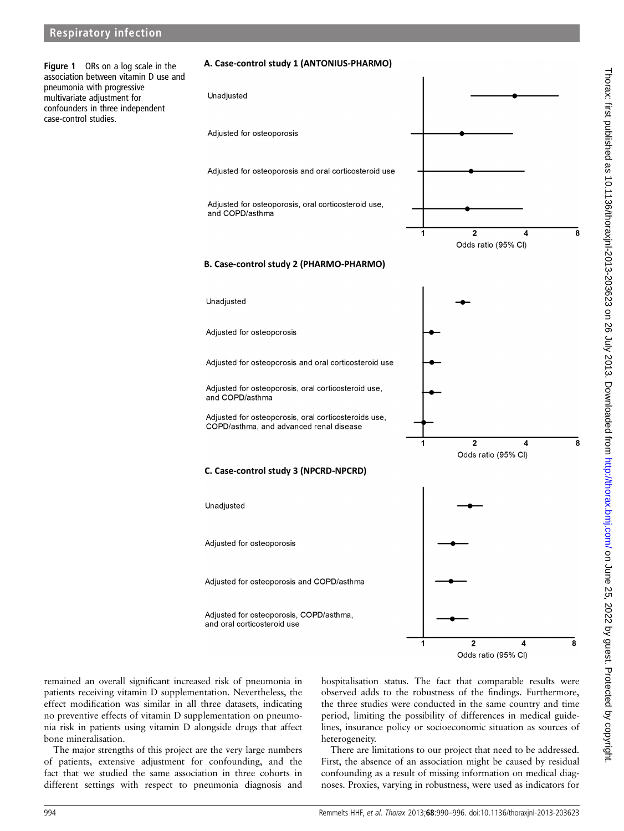Figure 1 ORs on a log scale in the association between vitamin D use and pneumonia with progressive multivariate adjustment for confounders in three independent case-control studies.

# A. Case-control study 1 (ANTONIUS-PHARMO)



remained an overall significant increased risk of pneumonia in patients receiving vitamin D supplementation. Nevertheless, the effect modification was similar in all three datasets, indicating no preventive effects of vitamin D supplementation on pneumonia risk in patients using vitamin D alongside drugs that affect bone mineralisation. The major strengths of this project are the very large numbers

of patients, extensive adjustment for confounding, and the fact that we studied the same association in three cohorts in different settings with respect to pneumonia diagnosis and

hospitalisation status. The fact that comparable results were observed adds to the robustness of the findings. Furthermore, the three studies were conducted in the same country and time period, limiting the possibility of differences in medical guidelines, insurance policy or socioeconomic situation as sources of heterogeneity.

There are limitations to our project that need to be addressed. First, the absence of an association might be caused by residual confounding as a result of missing information on medical diagnoses. Proxies, varying in robustness, were used as indicators for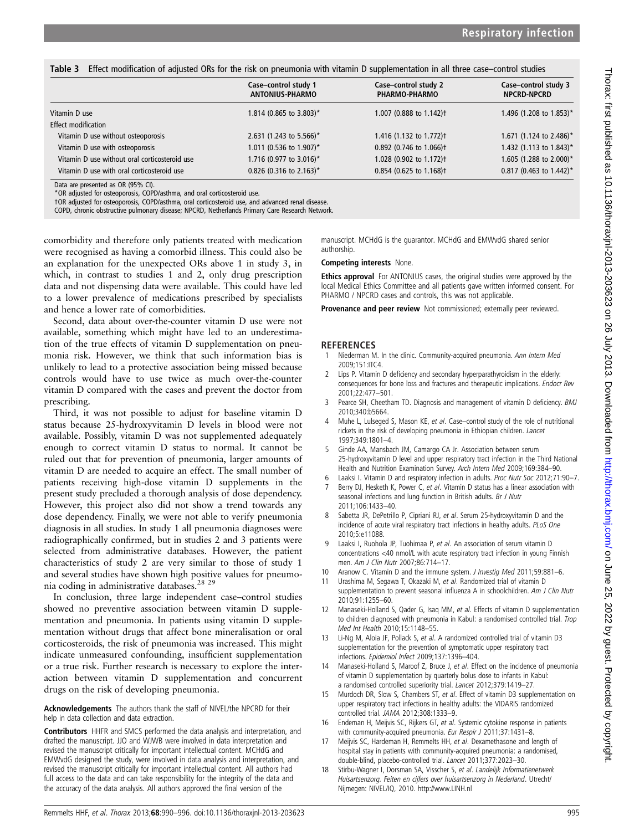|  |  |  | Table 3 Effect modification of adjusted ORs for the risk on pneumonia with vitamin D supplementation in all three case-control studies |
|--|--|--|----------------------------------------------------------------------------------------------------------------------------------------|
|--|--|--|----------------------------------------------------------------------------------------------------------------------------------------|

|                                               | Case-control study 1<br>ANTONIUS-PHARMO | Case-control study 2<br>PHARMO-PHARMO | Case-control study 3<br><b>NPCRD-NPCRD</b> |
|-----------------------------------------------|-----------------------------------------|---------------------------------------|--------------------------------------------|
| Vitamin D use                                 | 1.814 (0.865 to 3.803)*                 | 1.007 (0.888 to 1.142) <sup>†</sup>   | 1.496 (1.208 to 1.853)*                    |
| Effect modification                           |                                         |                                       |                                            |
| Vitamin D use without osteoporosis            | 2.631 (1.243 to 5.566)*                 | 1.416 (1.132 to 1.772) <sup>+</sup>   | 1.671 (1.124 to 2.486)*                    |
| Vitamin D use with osteoporosis               | 1.011 (0.536 to 1.907)*                 | 0.892 (0.746 to 1.066) <sup>†</sup>   | 1.432 (1.113 to 1.843)*                    |
| Vitamin D use without oral corticosteroid use | 1.716 (0.977 to 3.016)*                 | 1.028 (0.902 to 1.172) <sup>+</sup>   | 1.605 (1.288 to 2.000)*                    |
| Vitamin D use with oral corticosteroid use    | $0.826$ (0.316 to 2.163)*               | 0.854 (0.625 to 1.168) <sup>†</sup>   | $0.817$ (0.463 to 1.442)*                  |

Data are presented as OR (95% CI).

\*OR adjusted for osteoporosis, COPD/asthma, and oral corticosteroid use.

†OR adjusted for osteoporosis, COPD/asthma, oral corticosteroid use, and advanced renal disease.

COPD, chronic obstructive pulmonary disease; NPCRD, Netherlands Primary Care Research Network.

comorbidity and therefore only patients treated with medication were recognised as having a comorbid illness. This could also be an explanation for the unexpected ORs above 1 in study 3, in which, in contrast to studies 1 and 2, only drug prescription data and not dispensing data were available. This could have led to a lower prevalence of medications prescribed by specialists and hence a lower rate of comorbidities.

Second, data about over-the-counter vitamin D use were not available, something which might have led to an underestimation of the true effects of vitamin D supplementation on pneumonia risk. However, we think that such information bias is unlikely to lead to a protective association being missed because controls would have to use twice as much over-the-counter vitamin D compared with the cases and prevent the doctor from prescribing.

Third, it was not possible to adjust for baseline vitamin D status because 25-hydroxyvitamin D levels in blood were not available. Possibly, vitamin D was not supplemented adequately enough to correct vitamin D status to normal. It cannot be ruled out that for prevention of pneumonia, larger amounts of vitamin D are needed to acquire an effect. The small number of patients receiving high-dose vitamin D supplements in the present study precluded a thorough analysis of dose dependency. However, this project also did not show a trend towards any dose dependency. Finally, we were not able to verify pneumonia diagnosis in all studies. In study 1 all pneumonia diagnoses were radiographically confirmed, but in studies 2 and 3 patients were selected from administrative databases. However, the patient characteristics of study 2 are very similar to those of study 1 and several studies have shown high positive values for pneumonia coding in administrative databases.28 29

In conclusion, three large independent case–control studies showed no preventive association between vitamin D supplementation and pneumonia. In patients using vitamin D supplementation without drugs that affect bone mineralisation or oral corticosteroids, the risk of pneumonia was increased. This might indicate unmeasured confounding, insufficient supplementation or a true risk. Further research is necessary to explore the interaction between vitamin D supplementation and concurrent drugs on the risk of developing pneumonia.

Acknowledgements The authors thank the staff of NIVEL/the NPCRD for their help in data collection and data extraction.

Contributors HHFR and SMCS performed the data analysis and interpretation, and drafted the manuscript. JJO and WJWB were involved in data interpretation and revised the manuscript critically for important intellectual content. MCHdG and EMWvdG designed the study, were involved in data analysis and interpretation, and revised the manuscript critically for important intellectual content. All authors had full access to the data and can take responsibility for the integrity of the data and the accuracy of the data analysis. All authors approved the final version of the

manuscript. MCHdG is the guarantor. MCHdG and EMWvdG shared senior authorship.

#### Competing interests None.

Ethics approval For ANTONIUS cases, the original studies were approved by the local Medical Ethics Committee and all patients gave written informed consent. For PHARMO / NPCRD cases and controls, this was not applicable.

Provenance and peer review Not commissioned; externally peer reviewed.

#### **REFERENCES**

- 1 Niederman M. In the clinic. Community-acquired pneumonia. Ann Intern Med 2009;151:ITC4.
- Lips P. Vitamin D deficiency and secondary hyperparathyroidism in the elderly: consequences for bone loss and fractures and therapeutic implications. Endocr Rev 2001;22:477–501.
- 3 Pearce SH, Cheetham TD. Diagnosis and management of vitamin D deficiency. BMJ 2010;340:b5664.
- 4 Muhe L, Lulseged S, Mason KE, et al. Case–control study of the role of nutritional rickets in the risk of developing pneumonia in Ethiopian children. Lancet 1997;349:1801–4.
- 5 Ginde AA, Mansbach JM, Camargo CA Jr. Association between serum 25-hydroxyvitamin D level and upper respiratory tract infection in the Third National Health and Nutrition Examination Survey. Arch Intern Med 2009;169:384–90.
- 6 Laaksi I. Vitamin D and respiratory infection in adults. Proc Nutr Soc 2012;71:90–7. Berry DJ, Hesketh K, Power C, et al. Vitamin D status has a linear association with seasonal infections and lung function in British adults. Br J Nutr 2011;106:1433–40.
- Sabetta JR, DePetrillo P, Cipriani RJ, et al. Serum 25-hydroxyvitamin D and the incidence of acute viral respiratory tract infections in healthy adults. PLoS One 2010;5:e11088.
- 9 Laaksi I, Ruohola JP, Tuohimaa P, et al. An association of serum vitamin D concentrations <40 nmol/L with acute respiratory tract infection in young Finnish men. Am J Clin Nutr 2007;86:714–17.
- 10 Aranow C. Vitamin D and the immune system. J Investig Med 2011;59:881-6.
- 11 Urashima M, Segawa T, Okazaki M, et al. Randomized trial of vitamin D supplementation to prevent seasonal influenza A in schoolchildren. Am J Clin Nutr 2010;91:1255–60.
- 12 Manaseki-Holland S, Qader G, Isaq MM, et al. Effects of vitamin D supplementation to children diagnosed with pneumonia in Kabul: a randomised controlled trial. Trop Med Int Health 2010;15:1148–55.
- 13 Li-Ng M, Aloia JF, Pollack S, et al. A randomized controlled trial of vitamin D3 supplementation for the prevention of symptomatic upper respiratory tract infections. Epidemiol Infect 2009;137:1396–404.
- 14 Manaseki-Holland S, Maroof Z, Bruce J, et al. Effect on the incidence of pneumonia of vitamin D supplementation by quarterly bolus dose to infants in Kabul: a randomised controlled superiority trial. Lancet 2012;379:1419–27.
- 15 Murdoch DR, Slow S, Chambers ST, et al. Effect of vitamin D3 supplementation on upper respiratory tract infections in healthy adults: the VIDARIS randomized controlled trial. JAMA 2012;308:1333–9.
- 16 Endeman H, Meijvis SC, Rijkers GT, et al. Systemic cytokine response in patients with community-acquired pneumonia. Eur Respir J 2011;37:1431-8.
- 17 Meijvis SC, Hardeman H, Remmelts HH, et al. Dexamethasone and length of hospital stay in patients with community-acquired pneumonia: a randomised, double-blind, placebo-controlled trial. Lancet 2011;377:2023–30.
- Stirbu-Wagner I, Dorsman SA, Visscher S, et al. Landelijk Informatienetwerk Huisartsenzorg. Feiten en cijfers over huisartsenzorg in Nederland. Utrecht/ Nijmegen: NIVEL/IQ, 2010.<http://www.LINH.nl>